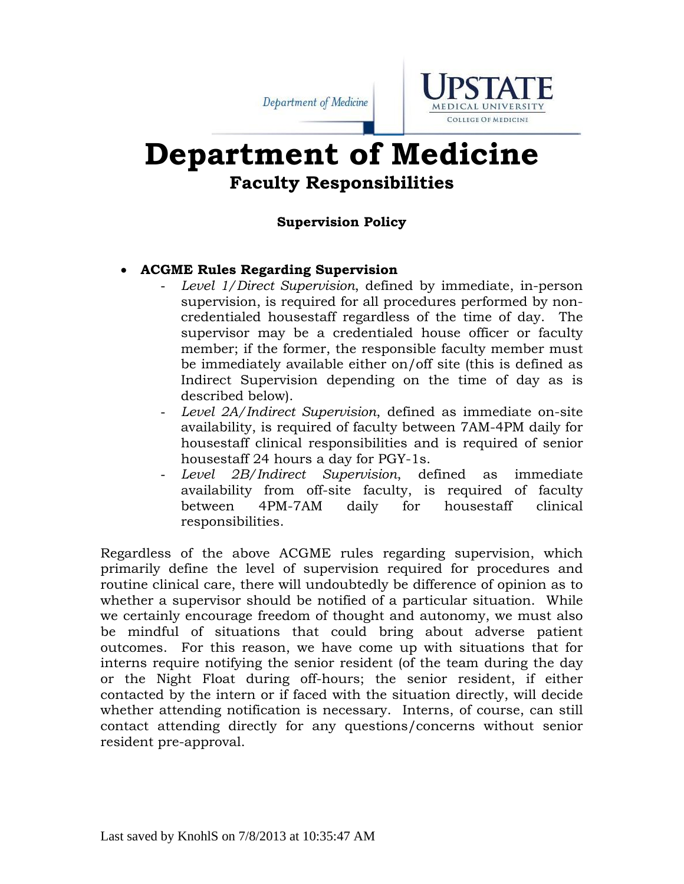Department of Medicine



# **Department of Medicine Faculty Responsibilities**

### **Supervision Policy**

### **ACGME Rules Regarding Supervision**

- *Level 1/Direct Supervision*, defined by immediate, in-person supervision, is required for all procedures performed by noncredentialed housestaff regardless of the time of day. The supervisor may be a credentialed house officer or faculty member; if the former, the responsible faculty member must be immediately available either on/off site (this is defined as Indirect Supervision depending on the time of day as is described below).
- *Level 2A/Indirect Supervision*, defined as immediate on-site availability, is required of faculty between 7AM-4PM daily for housestaff clinical responsibilities and is required of senior housestaff 24 hours a day for PGY-1s.
- *Level 2B/Indirect Supervision*, defined as immediate availability from off-site faculty, is required of faculty between 4PM-7AM daily for housestaff clinical responsibilities.

Regardless of the above ACGME rules regarding supervision, which primarily define the level of supervision required for procedures and routine clinical care, there will undoubtedly be difference of opinion as to whether a supervisor should be notified of a particular situation. While we certainly encourage freedom of thought and autonomy, we must also be mindful of situations that could bring about adverse patient outcomes. For this reason, we have come up with situations that for interns require notifying the senior resident (of the team during the day or the Night Float during off-hours; the senior resident, if either contacted by the intern or if faced with the situation directly, will decide whether attending notification is necessary. Interns, of course, can still contact attending directly for any questions/concerns without senior resident pre-approval.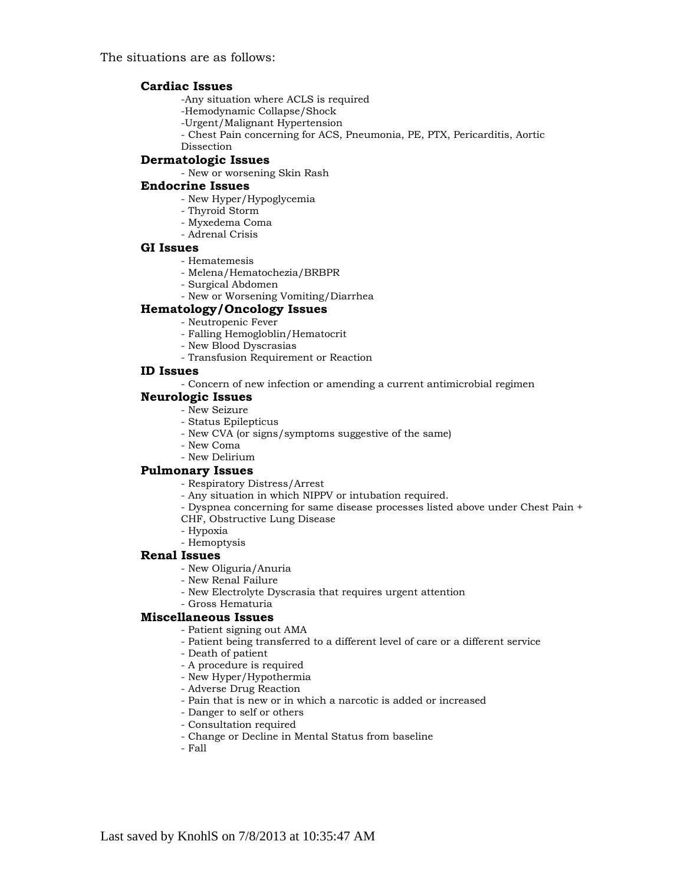The situations are as follows:

#### **Cardiac Issues**

-Any situation where ACLS is required

- -Hemodynamic Collapse/Shock
- -Urgent/Malignant Hypertension
- Chest Pain concerning for ACS, Pneumonia, PE, PTX, Pericarditis, Aortic
- Dissection

#### **Dermatologic Issues**

- New or worsening Skin Rash

#### **Endocrine Issues**

- New Hyper/Hypoglycemia
- Thyroid Storm
- Myxedema Coma
- Adrenal Crisis

### **GI Issues**

- Hematemesis
- Melena/Hematochezia/BRBPR
- Surgical Abdomen
- New or Worsening Vomiting/Diarrhea

### **Hematology/Oncology Issues**

- Neutropenic Fever
	- Falling Hemogloblin/Hematocrit
	- New Blood Dyscrasias
	- Transfusion Requirement or Reaction

#### **ID Issues**

- Concern of new infection or amending a current antimicrobial regimen

#### **Neurologic Issues**

- New Seizure
- Status Epilepticus
- New CVA (or signs/symptoms suggestive of the same)
- New Coma
- New Delirium

#### **Pulmonary Issues**

- Respiratory Distress/Arrest
- Any situation in which NIPPV or intubation required.
- Dyspnea concerning for same disease processes listed above under Chest Pain +
- CHF, Obstructive Lung Disease
- Hypoxia
- Hemoptysis

#### **Renal Issues**

- New Oliguria/Anuria
- New Renal Failure
- New Electrolyte Dyscrasia that requires urgent attention
- Gross Hematuria

#### **Miscellaneous Issues**

- Patient signing out AMA
- Patient being transferred to a different level of care or a different service
- Death of patient
- A procedure is required
- New Hyper/Hypothermia
- Adverse Drug Reaction
- Pain that is new or in which a narcotic is added or increased
- Danger to self or others
- Consultation required
- Change or Decline in Mental Status from baseline
- Fall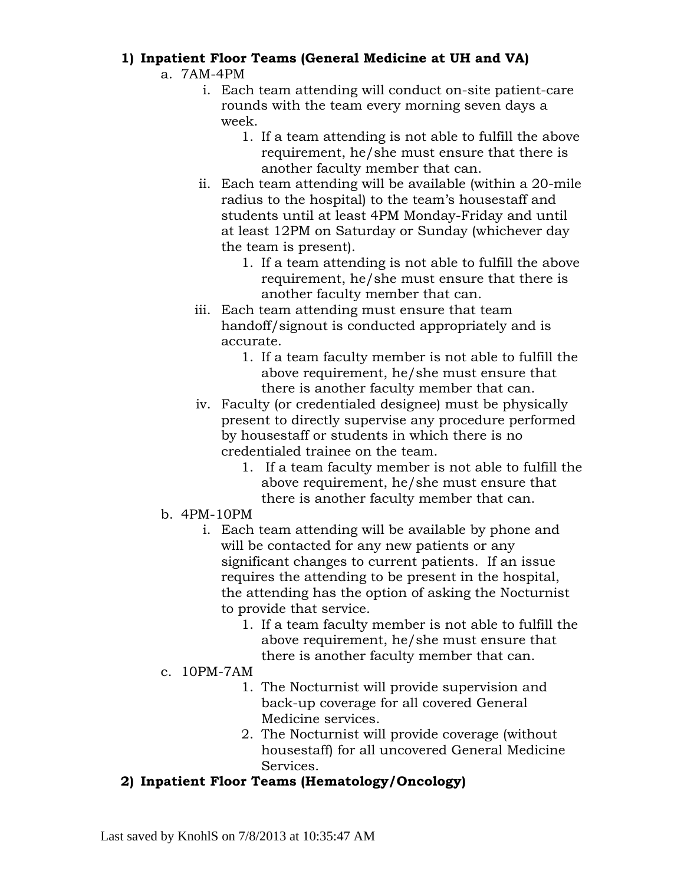# **1) Inpatient Floor Teams (General Medicine at UH and VA)**

### a. 7AM-4PM

- i. Each team attending will conduct on-site patient-care rounds with the team every morning seven days a week.
	- 1. If a team attending is not able to fulfill the above requirement, he/she must ensure that there is another faculty member that can.
- ii. Each team attending will be available (within a 20-mile radius to the hospital) to the team's housestaff and students until at least 4PM Monday-Friday and until at least 12PM on Saturday or Sunday (whichever day the team is present).
	- 1. If a team attending is not able to fulfill the above requirement, he/she must ensure that there is another faculty member that can.
- iii. Each team attending must ensure that team handoff/signout is conducted appropriately and is accurate.
	- 1. If a team faculty member is not able to fulfill the above requirement, he/she must ensure that there is another faculty member that can.
- iv. Faculty (or credentialed designee) must be physically present to directly supervise any procedure performed by housestaff or students in which there is no credentialed trainee on the team.
	- 1. If a team faculty member is not able to fulfill the above requirement, he/she must ensure that there is another faculty member that can.
- b. 4PM-10PM
	- i. Each team attending will be available by phone and will be contacted for any new patients or any significant changes to current patients. If an issue requires the attending to be present in the hospital, the attending has the option of asking the Nocturnist to provide that service.
		- 1. If a team faculty member is not able to fulfill the above requirement, he/she must ensure that there is another faculty member that can.
- c. 10PM-7AM
	- 1. The Nocturnist will provide supervision and back-up coverage for all covered General Medicine services.
	- 2. The Nocturnist will provide coverage (without housestaff) for all uncovered General Medicine Services.

# **2) Inpatient Floor Teams (Hematology/Oncology)**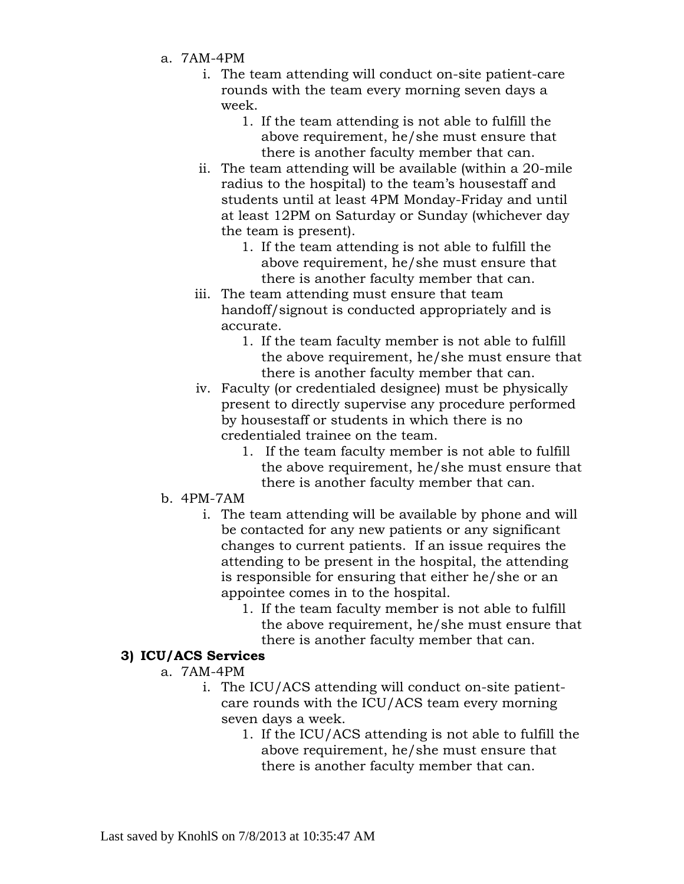- a. 7AM-4PM
	- i. The team attending will conduct on-site patient-care rounds with the team every morning seven days a week.
		- 1. If the team attending is not able to fulfill the above requirement, he/she must ensure that there is another faculty member that can.
	- ii. The team attending will be available (within a 20-mile radius to the hospital) to the team's housestaff and students until at least 4PM Monday-Friday and until at least 12PM on Saturday or Sunday (whichever day the team is present).
		- 1. If the team attending is not able to fulfill the above requirement, he/she must ensure that there is another faculty member that can.
	- iii. The team attending must ensure that team handoff/signout is conducted appropriately and is accurate.
		- 1. If the team faculty member is not able to fulfill the above requirement, he/she must ensure that there is another faculty member that can.
	- iv. Faculty (or credentialed designee) must be physically present to directly supervise any procedure performed by housestaff or students in which there is no credentialed trainee on the team.
		- 1. If the team faculty member is not able to fulfill the above requirement, he/she must ensure that there is another faculty member that can.
- b. 4PM-7AM
	- i. The team attending will be available by phone and will be contacted for any new patients or any significant changes to current patients. If an issue requires the attending to be present in the hospital, the attending is responsible for ensuring that either he/she or an appointee comes in to the hospital.
		- 1. If the team faculty member is not able to fulfill the above requirement, he/she must ensure that there is another faculty member that can.

### **3) ICU/ACS Services**

### a. 7AM-4PM

- i. The ICU/ACS attending will conduct on-site patientcare rounds with the ICU/ACS team every morning seven days a week.
	- 1. If the ICU/ACS attending is not able to fulfill the above requirement, he/she must ensure that there is another faculty member that can.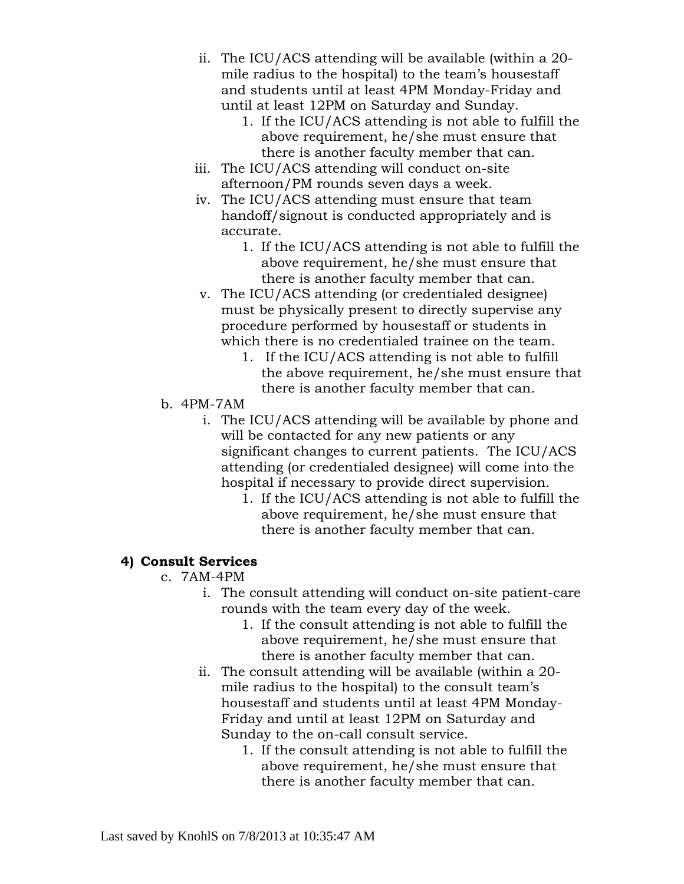- ii. The ICU/ACS attending will be available (within a 20 mile radius to the hospital) to the team's housestaff and students until at least 4PM Monday-Friday and until at least 12PM on Saturday and Sunday.
	- 1. If the ICU/ACS attending is not able to fulfill the above requirement, he/she must ensure that there is another faculty member that can.
- iii. The ICU/ACS attending will conduct on-site afternoon/PM rounds seven days a week.
- iv. The ICU/ACS attending must ensure that team handoff/signout is conducted appropriately and is accurate.
	- 1. If the ICU/ACS attending is not able to fulfill the above requirement, he/she must ensure that there is another faculty member that can.
- v. The ICU/ACS attending (or credentialed designee) must be physically present to directly supervise any procedure performed by housestaff or students in which there is no credentialed trainee on the team.
	- 1. If the ICU/ACS attending is not able to fulfill the above requirement, he/she must ensure that there is another faculty member that can.
- b. 4PM-7AM
	- i. The ICU/ACS attending will be available by phone and will be contacted for any new patients or any significant changes to current patients. The ICU/ACS attending (or credentialed designee) will come into the hospital if necessary to provide direct supervision.
		- 1. If the ICU/ACS attending is not able to fulfill the above requirement, he/she must ensure that there is another faculty member that can.

### **4) Consult Services**

### c. 7AM-4PM

- i. The consult attending will conduct on-site patient-care rounds with the team every day of the week.
	- 1. If the consult attending is not able to fulfill the above requirement, he/she must ensure that there is another faculty member that can.
- ii. The consult attending will be available (within a 20 mile radius to the hospital) to the consult team's housestaff and students until at least 4PM Monday-Friday and until at least 12PM on Saturday and Sunday to the on-call consult service.
	- 1. If the consult attending is not able to fulfill the above requirement, he/she must ensure that there is another faculty member that can.